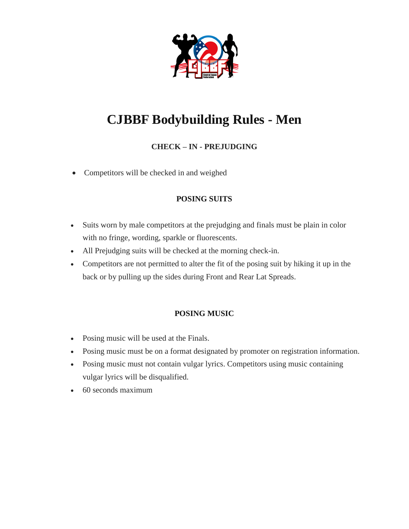

# **CJBBF Bodybuilding Rules - Men**

# **CHECK – IN - PREJUDGING**

Competitors will be checked in and weighed

# **POSING SUITS**

- Suits worn by male competitors at the prejudging and finals must be plain in color with no fringe, wording, sparkle or fluorescents.
- All Prejudging suits will be checked at the morning check-in.
- Competitors are not permitted to alter the fit of the posing suit by hiking it up in the back or by pulling up the sides during Front and Rear Lat Spreads.

### **POSING MUSIC**

- Posing music will be used at the Finals.
- Posing music must be on a format designated by promoter on registration information.
- Posing music must not contain vulgar lyrics. Competitors using music containing vulgar lyrics will be disqualified.
- 60 seconds maximum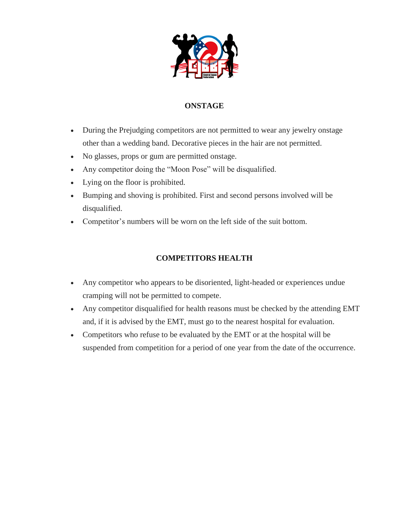

## **ONSTAGE**

- During the Prejudging competitors are not permitted to wear any jewelry onstage other than a wedding band. Decorative pieces in the hair are not permitted.
- No glasses, props or gum are permitted onstage.
- Any competitor doing the "Moon Pose" will be disqualified.
- Lying on the floor is prohibited.
- Bumping and shoving is prohibited. First and second persons involved will be disqualified.
- Competitor's numbers will be worn on the left side of the suit bottom.

### **COMPETITORS HEALTH**

- Any competitor who appears to be disoriented, light-headed or experiences undue cramping will not be permitted to compete.
- Any competitor disqualified for health reasons must be checked by the attending EMT and, if it is advised by the EMT, must go to the nearest hospital for evaluation.
- Competitors who refuse to be evaluated by the EMT or at the hospital will be suspended from competition for a period of one year from the date of the occurrence.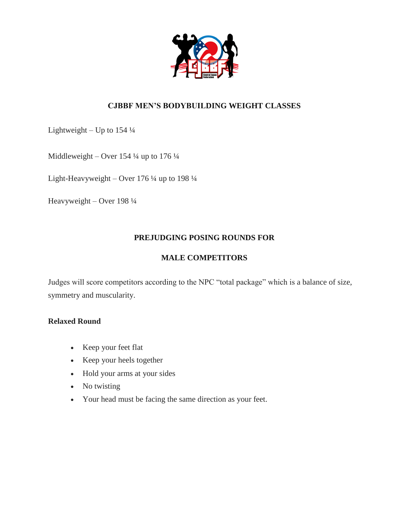

## **CJBBF MEN'S BODYBUILDING WEIGHT CLASSES**

Lightweight – Up to  $154\frac{1}{4}$ 

Middleweight – Over 154 ¼ up to 176 ¼

Light-Heavyweight – Over 176 ¼ up to 198 ¼

Heavyweight – Over 198 ¼

#### **PREJUDGING POSING ROUNDS FOR**

#### **MALE COMPETITORS**

Judges will score competitors according to the NPC "total package" which is a balance of size, symmetry and muscularity.

#### **Relaxed Round**

- Keep your feet flat
- Keep your heels together
- Hold your arms at your sides
- No twisting
- Your head must be facing the same direction as your feet.